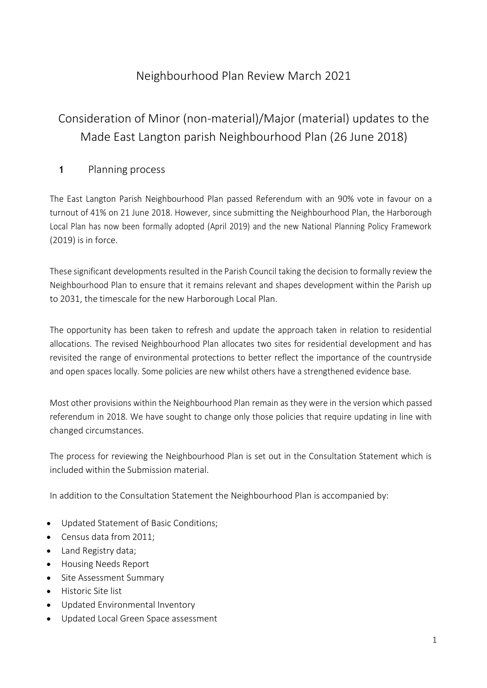# Neighbourhood Plan Review March 2021

# Consideration of Minor (non-material)/Major (material) updates to the Made East Langton parish Neighbourhood Plan (26 June 2018)

## **1** Planning process

The East Langton Parish Neighbourhood Plan passed Referendum with an 90% vote in favour on a turnout of 41% on 21 June 2018. However, since submitting the Neighbourhood Plan, the Harborough Local Plan has now been formally adopted (April 2019) and the new National Planning Policy Framework (2019) is in force.

These significant developments resulted in the Parish Council taking the decision to formally review the Neighbourhood Plan to ensure that it remains relevant and shapes development within the Parish up to 2031, the timescale for the new Harborough Local Plan.

The opportunity has been taken to refresh and update the approach taken in relation to residential allocations. The revised Neighbourhood Plan allocates two sites for residential development and has revisited the range of environmental protections to better reflect the importance of the countryside and open spaces locally. Some policies are new whilst others have a strengthened evidence base.

Most other provisions within the Neighbourhood Plan remain as they were in the version which passed referendum in 2018. We have sought to change only those policies that require updating in line with changed circumstances.

The process for reviewing the Neighbourhood Plan is set out in the Consultation Statement which is included within the Submission material.

In addition to the Consultation Statement the Neighbourhood Plan is accompanied by:

- Updated Statement of Basic Conditions;
- Census data from 2011;
- Land Registry data;
- Housing Needs Report
- Site Assessment Summary
- Historic Site list
- Updated Environmental Inventory
- Updated Local Green Space assessment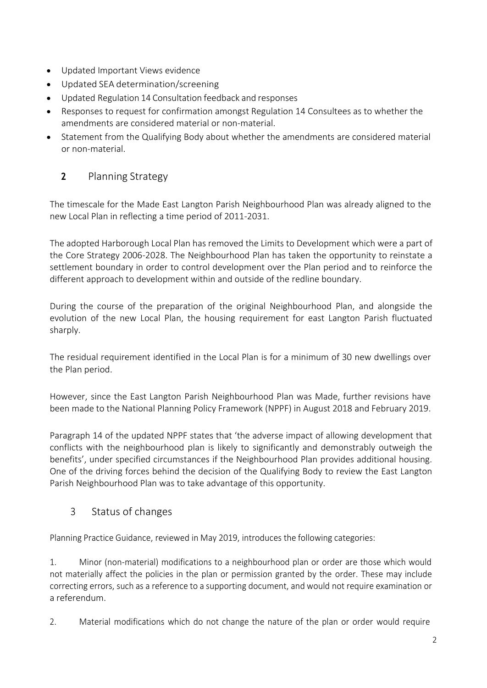- Updated Important Views evidence
- Updated SEA determination/screening
- Updated Regulation 14 Consultation feedback and responses
- Responses to request for confirmation amongst Regulation 14 Consultees as to whether the amendments are considered material or non-material.
- Statement from the Qualifying Body about whether the amendments are considered material or non-material.

# **2** Planning Strategy

The timescale for the Made East Langton Parish Neighbourhood Plan was already aligned to the new Local Plan in reflecting a time period of 2011-2031.

The adopted Harborough Local Plan has removed the Limits to Development which were a part of the Core Strategy 2006-2028. The Neighbourhood Plan has taken the opportunity to reinstate a settlement boundary in order to control development over the Plan period and to reinforce the different approach to development within and outside of the redline boundary.

During the course of the preparation of the original Neighbourhood Plan, and alongside the evolution of the new Local Plan, the housing requirement for east Langton Parish fluctuated sharply.

The residual requirement identified in the Local Plan is for a minimum of 30 new dwellings over the Plan period.

However, since the East Langton Parish Neighbourhood Plan was Made, further revisions have been made to the National Planning Policy Framework (NPPF) in August 2018 and February 2019.

Paragraph 14 of the updated NPPF states that 'the adverse impact of allowing development that conflicts with the neighbourhood plan is likely to significantly and demonstrably outweigh the benefits', under specified circumstances if the Neighbourhood Plan provides additional housing. One of the driving forces behind the decision of the Qualifying Body to review the East Langton Parish Neighbourhood Plan was to take advantage of this opportunity.

# 3 Status of changes

Planning Practice Guidance, reviewed in May 2019, introduces the following categories:

1. Minor (non-material) modifications to a neighbourhood plan or order are those which would not materially affect the policies in the plan or permission granted by the order. These may include correcting errors, such as a reference to a supporting document, and would not require examination or a referendum.

2. Material modifications which do not change the nature of the plan or order would require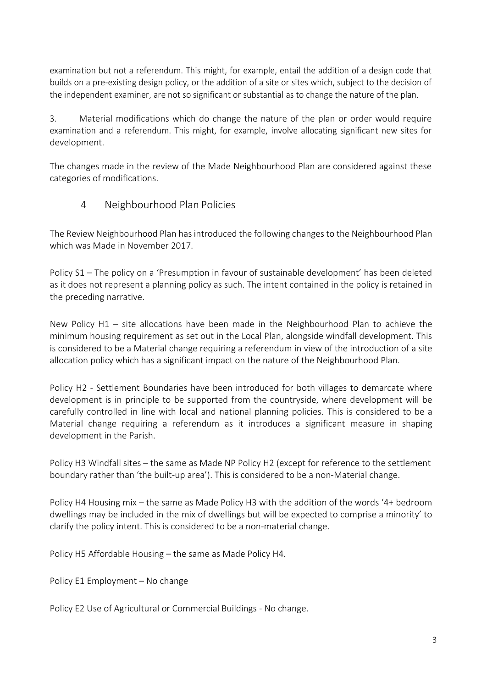examination but not a referendum. This might, for example, entail the addition of a design code that builds on a pre-existing design policy, or the addition of a site or sites which, subject to the decision of the independent examiner, are not so significant or substantial as to change the nature of the plan.

3. Material modifications which do change the nature of the plan or order would require examination and a referendum. This might, for example, involve allocating significant new sites for development.

The changes made in the review of the Made Neighbourhood Plan are considered against these categories of modifications.

### 4 Neighbourhood Plan Policies

The Review Neighbourhood Plan hasintroduced the following changes to the Neighbourhood Plan which was Made in November 2017.

Policy S1 – The policy on a 'Presumption in favour of sustainable development' has been deleted as it does not represent a planning policy as such. The intent contained in the policy is retained in the preceding narrative.

New Policy H1 – site allocations have been made in the Neighbourhood Plan to achieve the minimum housing requirement as set out in the Local Plan, alongside windfall development. This is considered to be a Material change requiring a referendum in view of the introduction of a site allocation policy which has a significant impact on the nature of the Neighbourhood Plan.

Policy H2 - Settlement Boundaries have been introduced for both villages to demarcate where development is in principle to be supported from the countryside, where development will be carefully controlled in line with local and national planning policies. This is considered to be a Material change requiring a referendum as it introduces a significant measure in shaping development in the Parish.

Policy H3 Windfall sites – the same as Made NP Policy H2 (except for reference to the settlement boundary rather than 'the built-up area'). This is considered to be a non-Material change.

Policy H4 Housing mix – the same as Made Policy H3 with the addition of the words '4+ bedroom dwellings may be included in the mix of dwellings but will be expected to comprise a minority' to clarify the policy intent. This is considered to be a non-material change.

Policy H5 Affordable Housing – the same as Made Policy H4.

Policy E1 Employment – No change

Policy E2 Use of Agricultural or Commercial Buildings - No change.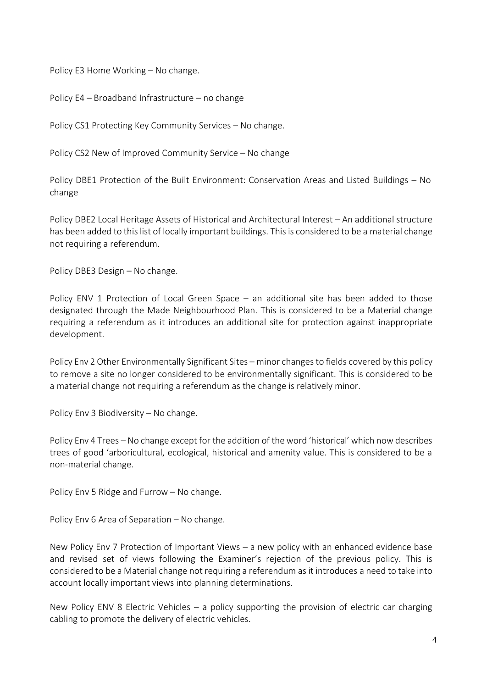Policy E3 Home Working – No change.

Policy E4 – Broadband Infrastructure – no change

Policy CS1 Protecting Key Community Services – No change.

Policy CS2 New of Improved Community Service – No change

Policy DBE1 Protection of the Built Environment: Conservation Areas and Listed Buildings – No change

Policy DBE2 Local Heritage Assets of Historical and Architectural Interest – An additional structure has been added to this list of locally important buildings. This is considered to be a material change not requiring a referendum.

Policy DBE3 Design – No change.

Policy ENV 1 Protection of Local Green Space – an additional site has been added to those designated through the Made Neighbourhood Plan. This is considered to be a Material change requiring a referendum as it introduces an additional site for protection against inappropriate development.

Policy Env 2 Other Environmentally Significant Sites – minor changes to fields covered by this policy to remove a site no longer considered to be environmentally significant. This is considered to be a material change not requiring a referendum as the change is relatively minor.

Policy Env 3 Biodiversity – No change.

Policy Env 4 Trees – No change except for the addition of the word 'historical' which now describes trees of good 'arboricultural, ecological, historical and amenity value. This is considered to be a non-material change.

Policy Env 5 Ridge and Furrow – No change.

Policy Env 6 Area of Separation – No change.

New Policy Env 7 Protection of Important Views – a new policy with an enhanced evidence base and revised set of views following the Examiner's rejection of the previous policy. This is considered to be a Material change not requiring a referendum asit introduces a need to take into account locally important views into planning determinations.

New Policy ENV 8 Electric Vehicles – a policy supporting the provision of electric car charging cabling to promote the delivery of electric vehicles.